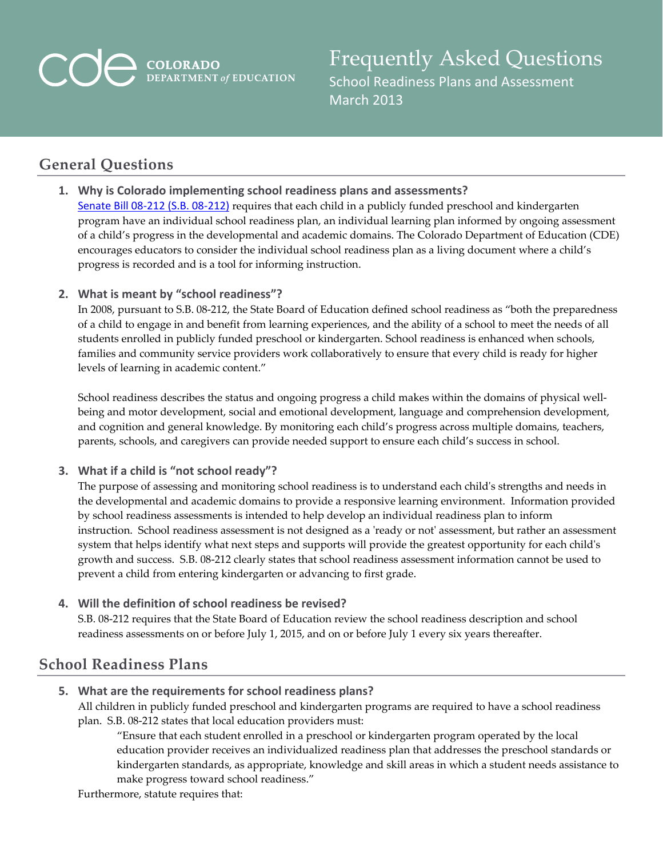# **COLORADO**<br>DEPARTMENT of EDUCATION

Frequently Asked Questions School Readiness Plans and Assessment March 2013

## **General Questions**

**1. Why is Colorado implementing school readiness plans and assessments?** Senate Bill 08-212 (S.B. 08-212) requires that each child in a publicly funded preschool and kindergarten program have an individual school readiness plan, an individual learning plan informed by ongoing assessment of a child's progress in the developmental and academic domains. The Colorado Department of Education (CDE) encourages educators to consider the individual school readiness plan as a living document where a child's progress is recorded and is a tool for informing instruction.

#### **2. What is meant by "school readiness"?**

In 2008, pursuant to S.B. 08‐212, the State Board of Education defined school readiness as "both the preparedness of a child to engage in and benefit from learning experiences, and the ability of a school to meet the needs of all students enrolled in publicly funded preschool or kindergarten. School readiness is enhanced when schools, families and community service providers work collaboratively to ensure that every child is ready for higher levels of learning in academic content."

School readiness describes the status and ongoing progress a child makes within the domains of physical wellbeing and motor development, social and emotional development, language and comprehension development, and cognition and general knowledge. By monitoring each child's progress across multiple domains, teachers, parents, schools, and caregivers can provide needed support to ensure each child's success in school.

#### **3. What if a child is "not school ready"?**

The purpose of assessing and monitoring school readiness is to understand each childʹs strengths and needs in the developmental and academic domains to provide a responsive learning environment. Information provided by school readiness assessments is intended to help develop an individual readiness plan to inform instruction. School readiness assessment is not designed as a 'ready or not' assessment, but rather an assessment system that helps identify what next steps and supports will provide the greatest opportunity for each child's growth and success. S.B. 08‐212 clearly states that school readiness assessment information cannot be used to prevent a child from entering kindergarten or advancing to first grade.

#### **4. Will the definition of school readiness be revised?**

S.B. 08‐212 requires that the State Board of Education review the school readiness description and school readiness assessments on or before July 1, 2015, and on or before July 1 every six years thereafter.

## **School Readiness Plans**

### **5. What are the requirements for school readiness plans?**

All children in publicly funded preschool and kindergarten programs are required to have a school readiness plan. S.B. 08‐212 states that local education providers must:

"Ensure that each student enrolled in a preschool or kindergarten program operated by the local education provider receives an individualized readiness plan that addresses the preschool standards or kindergarten standards, as appropriate, knowledge and skill areas in which a student needs assistance to make progress toward school readiness."

Furthermore, statute requires that: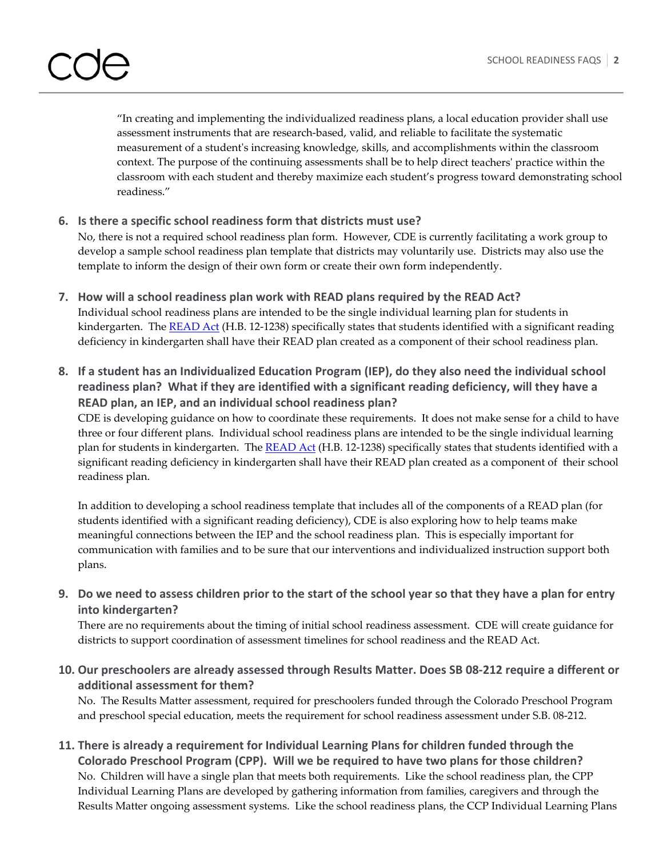"In creating and implementing the individualized readiness plans, a local education provider shall use assessment instruments that are research‐based, valid, and reliable to facilitate the systematic measurement of a studentʹs increasing knowledge, skills, and accomplishments within the classroom context. The purpose of the continuing assessments shall be to help direct teachersʹ practice within the classroom with each student and thereby maximize each student's progress toward demonstrating school readiness."

#### **6. Is there a specific school readiness form that districts must use?**

No, there is not a required school readiness plan form. However, CDE is currently facilitating a work group to develop a sample school readiness plan template that districts may voluntarily use. Districts may also use the template to inform the design of their own form or create their own form independently.

- **7. How will a school readiness plan work with READ plans required by the READ Act?** Individual school readiness plans are intended to be the single individual learning plan for students in kindergarten. The READ Act (H.B. 12-1238) specifically states that students identified with a significant reading deficiency in kindergarten shall have their READ plan created as a component of their school readiness plan.
- **8. If a student has an Individualized Education Program (IEP), do they also need the individual school readiness plan? What if they are identified with a significant reading deficiency, will they have a READ plan, an IEP, and an individual school readiness plan?**

CDE is developing guidance on how to coordinate these requirements. It does not make sense for a child to have three or four different plans. Individual school readiness plans are intended to be the single individual learning plan for students in kindergarten. The READ Act (H.B. 12-1238) specifically states that students identified with a significant reading deficiency in kindergarten shall have their READ plan created as a component of their school readiness plan.

In addition to developing a school readiness template that includes all of the components of a READ plan (for students identified with a significant reading deficiency), CDE is also exploring how to help teams make meaningful connections between the IEP and the school readiness plan. This is especially important for communication with families and to be sure that our interventions and individualized instruction support both plans.

9. Do we need to assess children prior to the start of the school year so that they have a plan for entry **into kindergarten?**

There are no requirements about the timing of initial school readiness assessment. CDE will create guidance for districts to support coordination of assessment timelines for school readiness and the READ Act.

10. Our preschoolers are already assessed through Results Matter. Does SB 08-212 require a different or **additional assessment for them?**

No. The Results Matter assessment, required for preschoolers funded through the Colorado Preschool Program and preschool special education, meets the requirement for school readiness assessment under S.B. 08‐212.

**11. There is already a requirement for Individual Learning Plans for children funded through the Colorado Preschool Program (CPP). Will we be required to have two plans for those children?**  No. Children will have a single plan that meets both requirements. Like the school readiness plan, the CPP Individual Learning Plans are developed by gathering information from families, caregivers and through the Results Matter ongoing assessment systems. Like the school readiness plans, the CCP Individual Learning Plans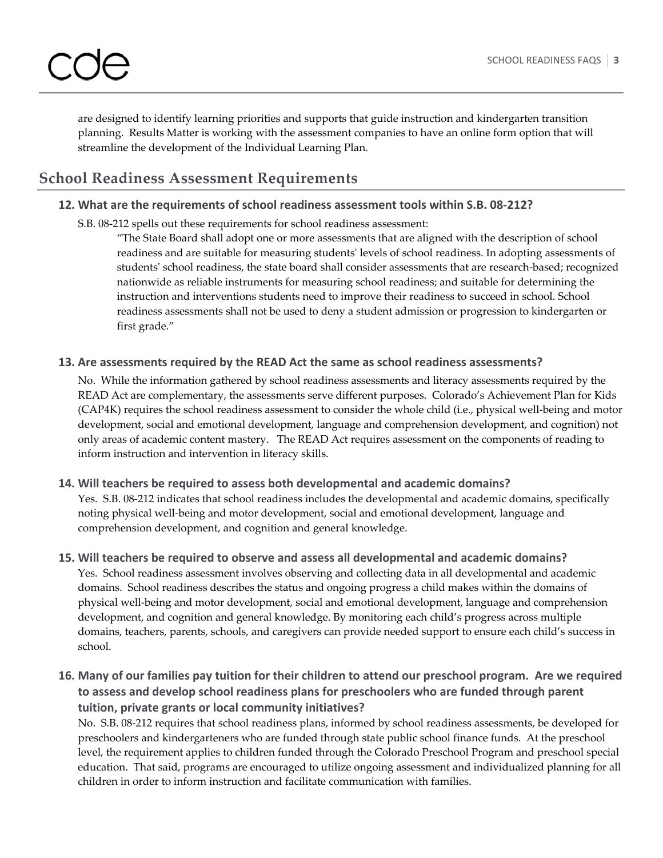are designed to identify learning priorities and supports that guide instruction and kindergarten transition planning. Results Matter is working with the assessment companies to have an online form option that will streamline the development of the Individual Learning Plan.

## **School Readiness Assessment Requirements**

#### **12. What are the requirements of school readiness assessment tools within S.B. 08‐212?**

S.B. 08‐212 spells out these requirements for school readiness assessment:

"The State Board shall adopt one or more assessments that are aligned with the description of school readiness and are suitable for measuring studentsʹ levels of school readiness. In adopting assessments of students' school readiness, the state board shall consider assessments that are research-based; recognized nationwide as reliable instruments for measuring school readiness; and suitable for determining the instruction and interventions students need to improve their readiness to succeed in school. School readiness assessments shall not be used to deny a student admission or progression to kindergarten or first grade."

#### **13. Are assessments required by the READ Act the same as school readiness assessments?**

No. While the information gathered by school readiness assessments and literacy assessments required by the READ Act are complementary, the assessments serve different purposes. Colorado's Achievement Plan for Kids (CAP4K) requires the school readiness assessment to consider the whole child (i.e., physical well‐being and motor development, social and emotional development, language and comprehension development, and cognition) not only areas of academic content mastery. The READ Act requires assessment on the components of reading to inform instruction and intervention in literacy skills.

#### **14. Will teachers be required to assess both developmental and academic domains?**

Yes. S.B. 08‐212 indicates that school readiness includes the developmental and academic domains, specifically noting physical well‐being and motor development, social and emotional development, language and comprehension development, and cognition and general knowledge.

### **15. Will teachers be required to observe and assess all developmental and academic domains?**

Yes. School readiness assessment involves observing and collecting data in all developmental and academic domains. School readiness describes the status and ongoing progress a child makes within the domains of physical well‐being and motor development, social and emotional development, language and comprehension development, and cognition and general knowledge. By monitoring each child's progress across multiple domains, teachers, parents, schools, and caregivers can provide needed support to ensure each child's success in school.

#### 16. Many of our families pay tuition for their children to attend our preschool program. Are we required **to assess and develop school readiness plans for preschoolers who are funded through parent tuition, private grants or local community initiatives?**

No. S.B. 08‐212 requires that school readiness plans, informed by school readiness assessments, be developed for preschoolers and kindergarteners who are funded through state public school finance funds. At the preschool level, the requirement applies to children funded through the Colorado Preschool Program and preschool special education. That said, programs are encouraged to utilize ongoing assessment and individualized planning for all children in order to inform instruction and facilitate communication with families.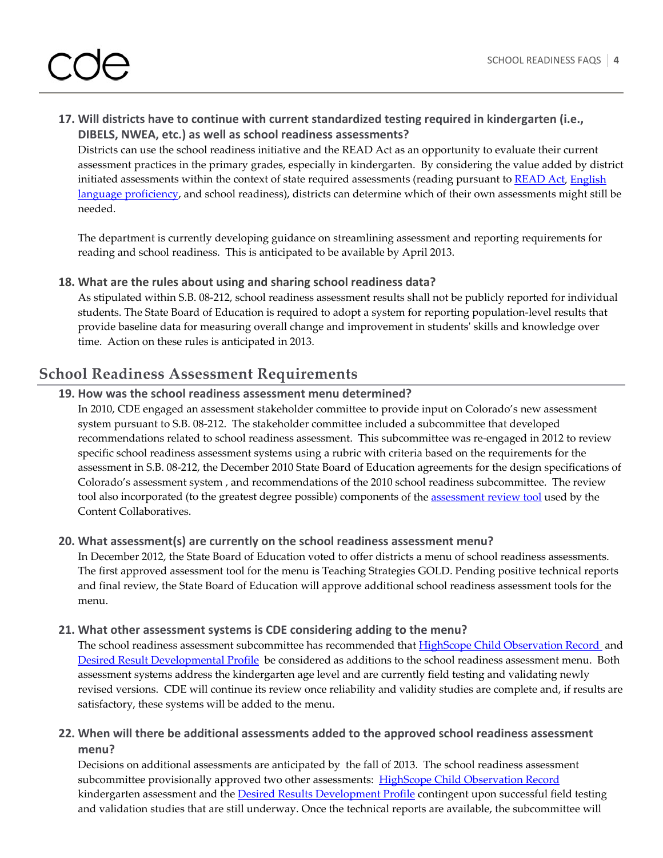## **17. Will districts have to continue with current standardized testing required in kindergarten (i.e., DIBELS, NWEA, etc.) as well as school readiness assessments?**

Districts can use the school readiness initiative and the READ Act as an opportunity to evaluate their current assessment practices in the primary grades, especially in kindergarten. By considering the value added by district initiated assessments within the context of state required assessments (reading pursuant to READ Act, English language proficiency, and school readiness), districts can determine which of their own assessments might still be needed.

The department is currently developing guidance on streamlining assessment and reporting requirements for reading and school readiness. This is anticipated to be available by April 2013.

#### **18. What are the rules about using and sharing school readiness data?**

As stipulated within S.B. 08‐212, school readiness assessment results shall not be publicly reported for individual students. The State Board of Education is required to adopt a system for reporting population‐level results that provide baseline data for measuring overall change and improvement in studentsʹ skills and knowledge over time. Action on these rules is anticipated in 2013.

## **School Readiness Assessment Requirements**

#### **19. How was the school readiness assessment menu determined?**

In 2010, CDE engaged an assessment stakeholder committee to provide input on Colorado's new assessment system pursuant to S.B. 08‐212. The stakeholder committee included a subcommittee that developed recommendations related to school readiness assessment. This subcommittee was re‐engaged in 2012 to review specific school readiness assessment systems using a rubric with criteria based on the requirements for the assessment in S.B. 08‐212, the December 2010 State Board of Education agreements for the design specifications of Colorado's assessment system , and recommendations of the 2010 school readiness subcommittee. The review tool also incorporated (to the greatest degree possible) components of the assessment review tool used by the Content Collaboratives.

#### **20. What assessment(s) are currently on the school readiness assessment menu?**

In December 2012, the State Board of Education voted to offer districts a menu of school readiness assessments. The first approved assessment tool for the menu is Teaching Strategies GOLD. Pending positive technical reports and final review, the State Board of Education will approve additional school readiness assessment tools for the menu.

#### **21. What other assessment systems is CDE considering adding to the menu?**

The school readiness assessment subcommittee has recommended that HighScope Child Observation Record and Desired Result Developmental Profile be considered as additions to the school readiness assessment menu. Both assessment systems address the kindergarten age level and are currently field testing and validating newly revised versions. CDE will continue its review once reliability and validity studies are complete and, if results are satisfactory, these systems will be added to the menu.

#### **22. When will there be additional assessments added to the approved school readiness assessment menu?**

Decisions on additional assessments are anticipated by the fall of 2013. The school readiness assessment subcommittee provisionally approved two other assessments: HighScope Child Observation Record kindergarten assessment and the **Desired Results Development Profile** contingent upon successful field testing and validation studies that are still underway. Once the technical reports are available, the subcommittee will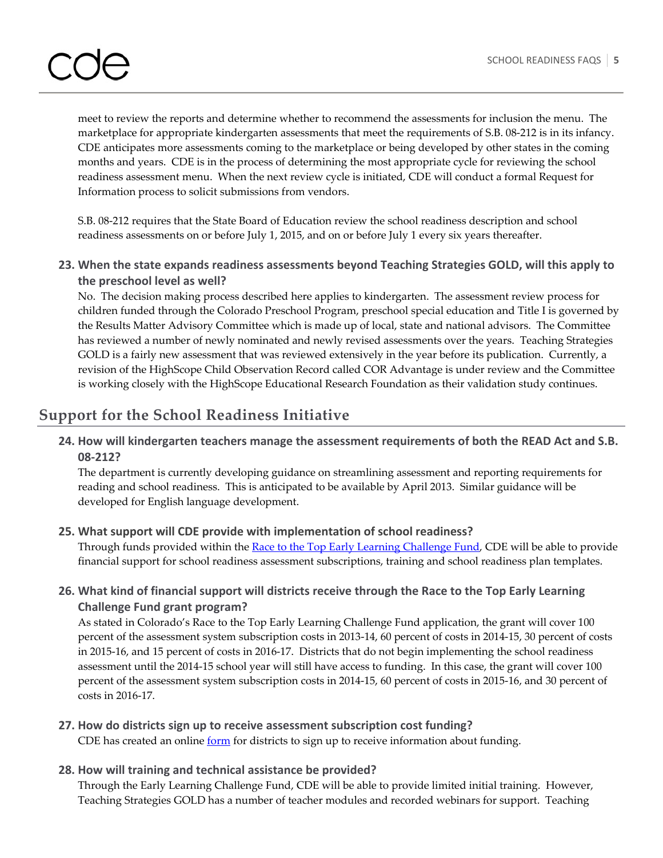# the contract of the contract of the contract of the contract of

meet to review the reports and determine whether to recommend the assessments for inclusion the menu. The marketplace for appropriate kindergarten assessments that meet the requirements of S.B. 08‐212 is in its infancy. CDE anticipates more assessments coming to the marketplace or being developed by other states in the coming months and years. CDE is in the process of determining the most appropriate cycle for reviewing the school readiness assessment menu. When the next review cycle is initiated, CDE will conduct a formal Request for Information process to solicit submissions from vendors.

S.B. 08‐212 requires that the State Board of Education review the school readiness description and school readiness assessments on or before July 1, 2015, and on or before July 1 every six years thereafter.

**23. When the state expands readiness assessments beyond Teaching Strategies GOLD, will this apply to the preschool level as well?** 

No. The decision making process described here applies to kindergarten. The assessment review process for children funded through the Colorado Preschool Program, preschool special education and Title I is governed by the Results Matter Advisory Committee which is made up of local, state and national advisors. The Committee has reviewed a number of newly nominated and newly revised assessments over the years. Teaching Strategies GOLD is a fairly new assessment that was reviewed extensively in the year before its publication. Currently, a revision of the HighScope Child Observation Record called COR Advantage is under review and the Committee is working closely with the HighScope Educational Research Foundation as their validation study continues.

## **Support for the School Readiness Initiative**

**24. How will kindergarten teachers manage the assessment requirements of both the READ Act and S.B. 08‐212?**

The department is currently developing guidance on streamlining assessment and reporting requirements for reading and school readiness. This is anticipated to be available by April 2013. Similar guidance will be developed for English language development.

#### **25. What support will CDE provide with implementation of school readiness?**

Through funds provided within the Race to the Top Early Learning Challenge Fund, CDE will be able to provide financial support for school readiness assessment subscriptions, training and school readiness plan templates.

### **26. What kind of financial support will districts receive through the Race to the Top Early Learning Challenge Fund grant program?**

As stated in Colorado's Race to the Top Early Learning Challenge Fund application, the grant will cover 100 percent of the assessment system subscription costs in 2013‐14, 60 percent of costs in 2014‐15, 30 percent of costs in 2015‐16, and 15 percent of costs in 2016‐17. Districts that do not begin implementing the school readiness assessment until the 2014‐15 school year will still have access to funding. In this case, the grant will cover 100 percent of the assessment system subscription costs in 2014‐15, 60 percent of costs in 2015‐16, and 30 percent of costs in 2016‐17.

## **27. How do districts sign up to receive assessment subscription cost funding?**

CDE has created an online form for districts to sign up to receive information about funding.

#### **28. How will training and technical assistance be provided?**

Through the Early Learning Challenge Fund, CDE will be able to provide limited initial training. However, Teaching Strategies GOLD has a number of teacher modules and recorded webinars for support. Teaching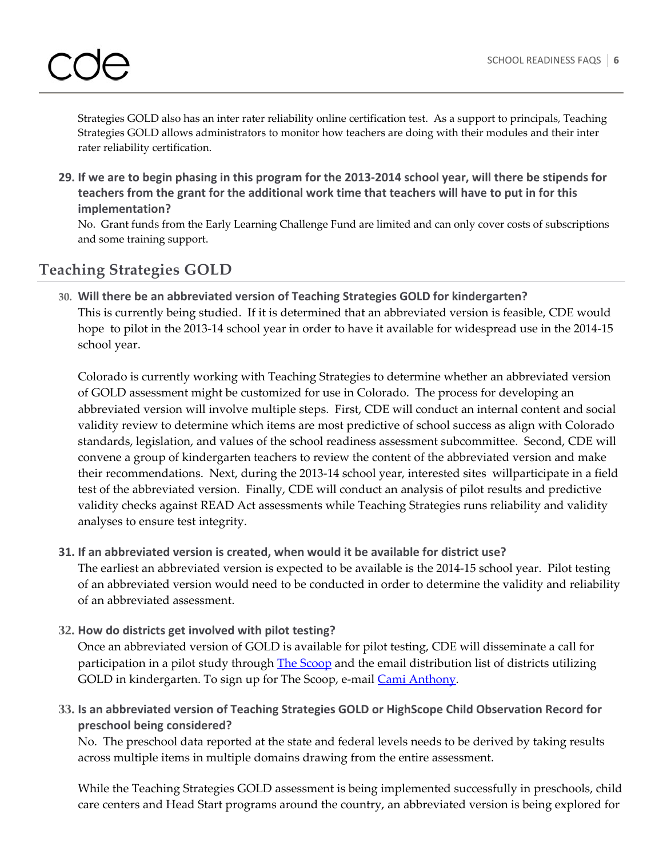Strategies GOLD also has an inter rater reliability online certification test. As a support to principals, Teaching Strategies GOLD allows administrators to monitor how teachers are doing with their modules and their inter rater reliability certification.

29. If we are to begin phasing in this program for the 2013-2014 school year, will there be stipends for **teachers from the grant for the additional work time that teachers will have to put in for this implementation?**

No. Grant funds from the Early Learning Challenge Fund are limited and can only cover costs of subscriptions and some training support.

# **Teaching Strategies GOLD**

**30. Will there be an abbreviated version of Teaching Strategies GOLD for kindergarten?** This is currently being studied. If it is determined that an abbreviated version is feasible, CDE would hope to pilot in the 2013-14 school year in order to have it available for widespread use in the 2014-15 school year.

Colorado is currently working with Teaching Strategies to determine whether an abbreviated version of GOLD assessment might be customized for use in Colorado. The process for developing an abbreviated version will involve multiple steps. First, CDE will conduct an internal content and social validity review to determine which items are most predictive of school success as align with Colorado standards, legislation, and values of the school readiness assessment subcommittee. Second, CDE will convene a group of kindergarten teachers to review the content of the abbreviated version and make their recommendations. Next, during the 2013‐14 school year, interested sites willparticipate in a field test of the abbreviated version. Finally, CDE will conduct an analysis of pilot results and predictive validity checks against READ Act assessments while Teaching Strategies runs reliability and validity analyses to ensure test integrity.

**31. If an abbreviated version is created, when would it be available for district use?**

The earliest an abbreviated version is expected to be available is the 2014‐15 school year. Pilot testing of an abbreviated version would need to be conducted in order to determine the validity and reliability of an abbreviated assessment.

**32. How do districts get involved with pilot testing?**

Once an abbreviated version of GOLD is available for pilot testing, CDE will disseminate a call for participation in a pilot study through The Scoop and the email distribution list of districts utilizing GOLD in kindergarten. To sign up for The Scoop, e-mail Cami Anthony.

**33. Is an abbreviated version of Teaching Strategies GOLD or HighScope Child Observation Record for preschool being considered?**

No. The preschool data reported at the state and federal levels needs to be derived by taking results across multiple items in multiple domains drawing from the entire assessment.

While the Teaching Strategies GOLD assessment is being implemented successfully in preschools, child care centers and Head Start programs around the country, an abbreviated version is being explored for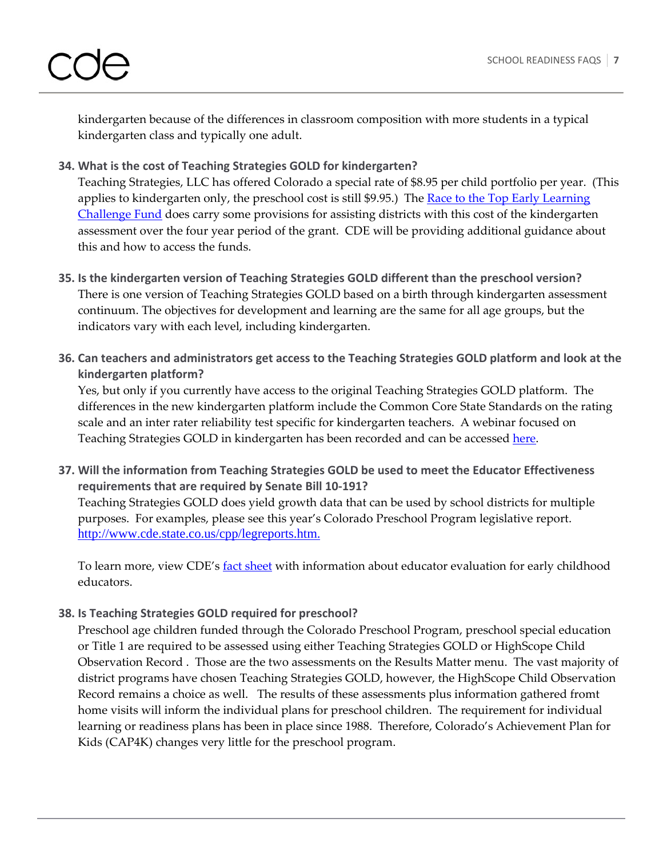kindergarten because of the differences in classroom composition with more students in a typical kindergarten class and typically one adult.

## **34. What is the cost of Teaching Strategies GOLD for kindergarten?**

Teaching Strategies, LLC has offered Colorado a special rate of \$8.95 per child portfolio per year. (This applies to kindergarten only, the preschool cost is still \$9.95.) The Race to the Top Early Learning Challenge Fund does carry some provisions for assisting districts with this cost of the kindergarten assessment over the four year period of the grant. CDE will be providing additional guidance about this and how to access the funds.

- **35. Is the kindergarten version of Teaching Strategies GOLD different than the preschool version?** There is one version of Teaching Strategies GOLD based on a birth through kindergarten assessment continuum. The objectives for development and learning are the same for all age groups, but the indicators vary with each level, including kindergarten.
- **36. Can teachers and administrators get access to the Teaching Strategies GOLD platform and look at the kindergarten platform?**

Yes, but only if you currently have access to the original Teaching Strategies GOLD platform. The differences in the new kindergarten platform include the Common Core State Standards on the rating scale and an inter rater reliability test specific for kindergarten teachers. A webinar focused on Teaching Strategies GOLD in kindergarten has been recorded and can be accessed here.

**37. Will the information from Teaching Strategies GOLD be used to meet the Educator Effectiveness requirements that are required by Senate Bill 10‐191?** Teaching Strategies GOLD does yield growth data that can be used by school districts for multiple purposes. For examples, please see this year's Colorado Preschool Program legislative report. http://www.cde.state.co.us/cpp/legreports.htm.

To learn more, view CDE's **fact sheet** with information about educator evaluation for early childhood educators.

### **38. Is Teaching Strategies GOLD required for preschool?**

Preschool age children funded through the Colorado Preschool Program, preschool special education or Title 1 are required to be assessed using either Teaching Strategies GOLD or HighScope Child Observation Record . Those are the two assessments on the Results Matter menu. The vast majority of district programs have chosen Teaching Strategies GOLD, however, the HighScope Child Observation Record remains a choice as well. The results of these assessments plus information gathered fromt home visits will inform the individual plans for preschool children. The requirement for individual learning or readiness plans has been in place since 1988. Therefore, Colorado's Achievement Plan for Kids (CAP4K) changes very little for the preschool program.